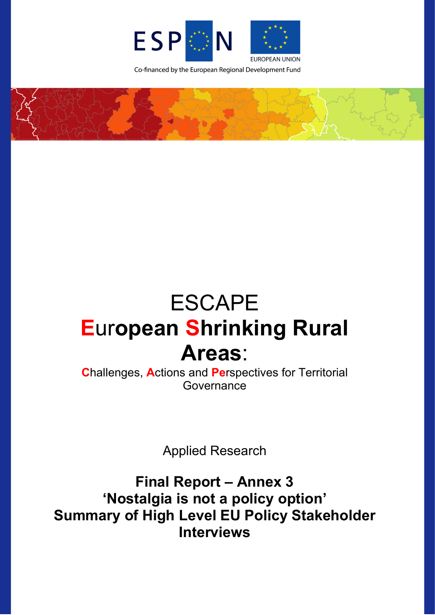

Co-financed by the European Regional Development Fund



# ESCAPE **E**ur**opean Shrinking Rural Areas**:

**C**hallenges, **A**ctions and **Pe**rspectives for Territorial **Governance** 

Applied Research

**Final Report – Annex 3 'Nostalgia is not a policy option' Summary of High Level EU Policy Stakeholder Interviews**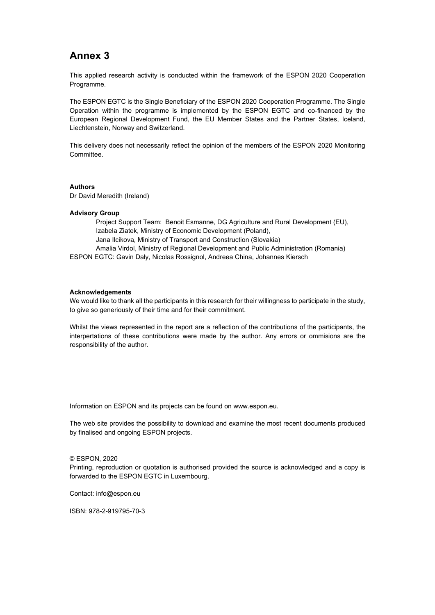# **Annex 3**

This applied research activity is conducted within the framework of the ESPON 2020 Cooperation Programme.

The ESPON EGTC is the Single Beneficiary of the ESPON 2020 Cooperation Programme. The Single Operation within the programme is implemented by the ESPON EGTC and co-financed by the European Regional Development Fund, the EU Member States and the Partner States, Iceland, Liechtenstein, Norway and Switzerland.

This delivery does not necessarily reflect the opinion of the members of the ESPON 2020 Monitoring Committee.

#### **Authors**

Dr David Meredith (Ireland)

#### **Advisory Group**

Project Support Team: Benoit Esmanne, DG Agriculture and Rural Development (EU), Izabela Ziatek, Ministry of Economic Development (Poland), Jana Ilcikova, Ministry of Transport and Construction (Slovakia) Amalia Virdol, Ministry of Regional Development and Public Administration (Romania) ESPON EGTC: Gavin Daly, Nicolas Rossignol, Andreea China, Johannes Kiersch

#### **Acknowledgements**

We would like to thank all the participants in this research for their willingness to participate in the study, to give so generiously of their time and for their commitment.

Whilst the views represented in the report are a reflection of the contributions of the participants, the interpertations of these contributions were made by the author. Any errors or ommisions are the responsibility of the author.

Information on ESPON and its projects can be found o[n www.espon.eu.](https://www.espon.eu/)

The web site provides the possibility to download and examine the most recent documents produced by finalised and ongoing ESPON projects.

#### © ESPON, 2020

Printing, reproduction or quotation is authorised provided the source is acknowledged and a copy is forwarded to the ESPON EGTC in Luxembourg.

Contact: [info@espon.eu](mailto:info@espon.eu)

ISBN: 978-2-919795-70-3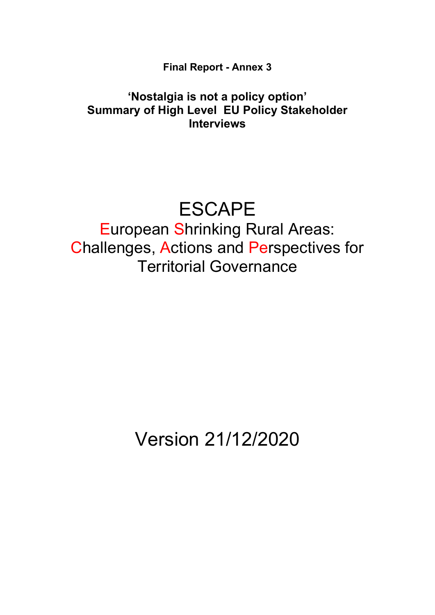**Final Report - Annex 3**

# **'Nostalgia is not a policy option' Summary of High Level EU Policy Stakeholder Interviews**

# ESCAPE

European Shrinking Rural Areas: Challenges, Actions and Perspectives for Territorial Governance

Version 21/12/2020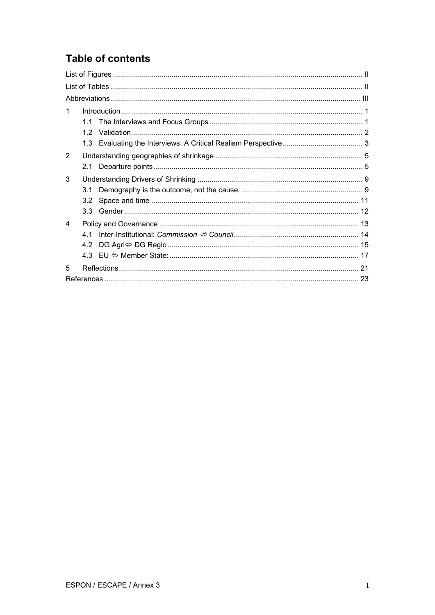# **Table of contents**

| 1              |     |  |  |  |  |
|----------------|-----|--|--|--|--|
|                |     |  |  |  |  |
|                | 1.2 |  |  |  |  |
|                |     |  |  |  |  |
| $\overline{2}$ |     |  |  |  |  |
|                | 2.1 |  |  |  |  |
| 3              |     |  |  |  |  |
|                | 3.1 |  |  |  |  |
|                | 3.2 |  |  |  |  |
|                | 3.3 |  |  |  |  |
| $\overline{4}$ |     |  |  |  |  |
|                | 41  |  |  |  |  |
|                | 4.2 |  |  |  |  |
|                |     |  |  |  |  |
| 5              |     |  |  |  |  |
|                |     |  |  |  |  |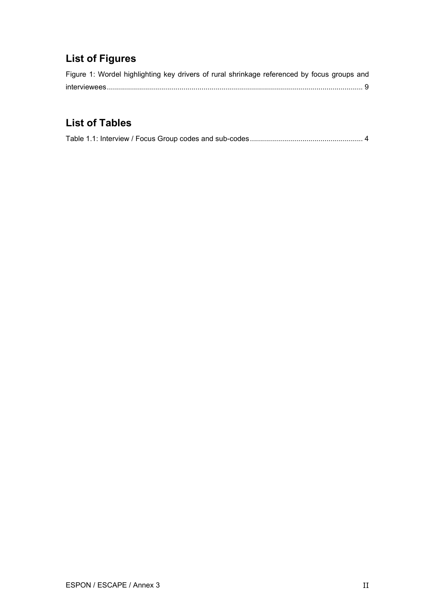# <span id="page-4-0"></span>**List of Figures**

| Figure 1: Wordel highlighting key drivers of rural shrinkage referenced by focus groups and |  |  |  |  |
|---------------------------------------------------------------------------------------------|--|--|--|--|
|                                                                                             |  |  |  |  |

# <span id="page-4-1"></span>**List of Tables**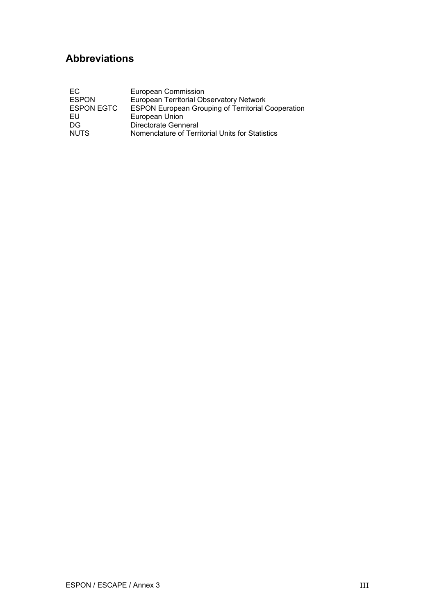# <span id="page-5-0"></span>**Abbreviations**

| EC.               | <b>European Commission</b>                                |
|-------------------|-----------------------------------------------------------|
| <b>ESPON</b>      | <b>European Territorial Observatory Network</b>           |
| <b>ESPON EGTC</b> | <b>ESPON European Grouping of Territorial Cooperation</b> |
| EU                | European Union                                            |
| DG                | Directorate Genneral                                      |
| <b>NUTS</b>       | Nomenclature of Territorial Units for Statistics          |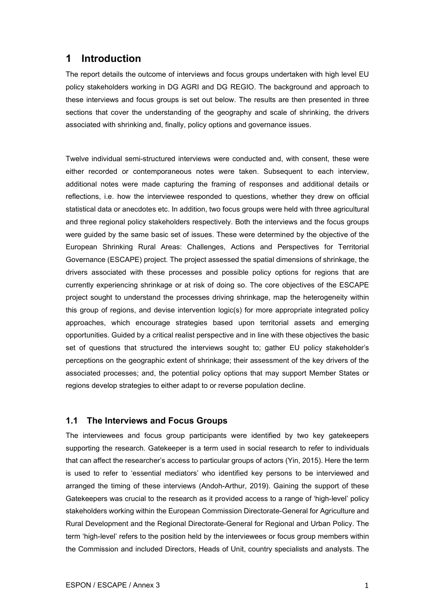## <span id="page-6-0"></span>**1 Introduction**

The report details the outcome of interviews and focus groups undertaken with high level EU policy stakeholders working in DG AGRI and DG REGIO. The background and approach to these interviews and focus groups is set out below. The results are then presented in three sections that cover the understanding of the geography and scale of shrinking, the drivers associated with shrinking and, finally, policy options and governance issues.

Twelve individual semi-structured interviews were conducted and, with consent, these were either recorded or contemporaneous notes were taken. Subsequent to each interview, additional notes were made capturing the framing of responses and additional details or reflections, i.e. how the interviewee responded to questions, whether they drew on official statistical data or anecdotes etc. In addition, two focus groups were held with three agricultural and three regional policy stakeholders respectively. Both the interviews and the focus groups were guided by the same basic set of issues. These were determined by the objective of the European Shrinking Rural Areas: Challenges, Actions and Perspectives for Territorial Governance (ESCAPE) project. The project assessed the spatial dimensions of shrinkage, the drivers associated with these processes and possible policy options for regions that are currently experiencing shrinkage or at risk of doing so. The core objectives of the ESCAPE project sought to understand the processes driving shrinkage, map the heterogeneity within this group of regions, and devise intervention logic(s) for more appropriate integrated policy approaches, which encourage strategies based upon territorial assets and emerging opportunities. Guided by a critical realist perspective and in line with these objectives the basic set of questions that structured the interviews sought to; gather EU policy stakeholder's perceptions on the geographic extent of shrinkage; their assessment of the key drivers of the associated processes; and, the potential policy options that may support Member States or regions develop strategies to either adapt to or reverse population decline.

#### <span id="page-6-1"></span>**1.1 The Interviews and Focus Groups**

The interviewees and focus group participants were identified by two key gatekeepers supporting the research. Gatekeeper is a term used in social research to refer to individuals that can affect the researcher's access to particular groups of actors (Yin, 2015). Here the term is used to refer to 'essential mediators' who identified key persons to be interviewed and arranged the timing of these interviews (Andoh-Arthur, 2019). Gaining the support of these Gatekeepers was crucial to the research as it provided access to a range of 'high-level' policy stakeholders working within the European Commission Directorate-General for Agriculture and Rural Development and the Regional Directorate-General for Regional and Urban Policy. The term 'high-level' refers to the position held by the interviewees or focus group members within the Commission and included Directors, Heads of Unit, country specialists and analysts. The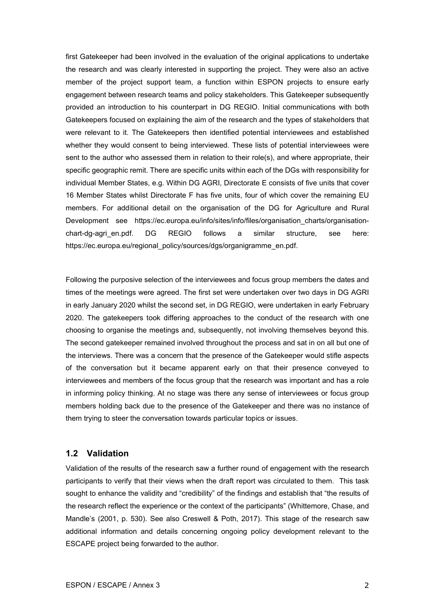first Gatekeeper had been involved in the evaluation of the original applications to undertake the research and was clearly interested in supporting the project. They were also an active member of the project support team, a function within ESPON projects to ensure early engagement between research teams and policy stakeholders. This Gatekeeper subsequently provided an introduction to his counterpart in DG REGIO. Initial communications with both Gatekeepers focused on explaining the aim of the research and the types of stakeholders that were relevant to it. The Gatekeepers then identified potential interviewees and established whether they would consent to being interviewed. These lists of potential interviewees were sent to the author who assessed them in relation to their role(s), and where appropriate, their specific geographic remit. There are specific units within each of the DGs with responsibility for individual Member States, e.g. Within DG AGRI, Directorate E consists of five units that cover 16 Member States whilst Directorate F has five units, four of which cover the remaining EU members. For additional detail on the organisation of the DG for Agriculture and Rural Development see [https://ec.europa.eu/info/sites/info/files/organisation\\_charts/organisation](https://ec.europa.eu/info/sites/info/files/organisation_charts/organisation-chart-dg-agri_en.pdf)chart-dg-agrien.pdf. DG REGIO follows a similar structure, see here: [https://ec.europa.eu/regional\\_policy/sources/dgs/organigramme\\_en.pdf.](https://ec.europa.eu/regional_policy/sources/dgs/organigramme_en.pdf)

Following the purposive selection of the interviewees and focus group members the dates and times of the meetings were agreed. The first set were undertaken over two days in DG AGRI in early January 2020 whilst the second set, in DG REGIO, were undertaken in early February 2020. The gatekeepers took differing approaches to the conduct of the research with one choosing to organise the meetings and, subsequently, not involving themselves beyond this. The second gatekeeper remained involved throughout the process and sat in on all but one of the interviews. There was a concern that the presence of the Gatekeeper would stifle aspects of the conversation but it became apparent early on that their presence conveyed to interviewees and members of the focus group that the research was important and has a role in informing policy thinking. At no stage was there any sense of interviewees or focus group members holding back due to the presence of the Gatekeeper and there was no instance of them trying to steer the conversation towards particular topics or issues.

#### <span id="page-7-0"></span>**1.2 Validation**

Validation of the results of the research saw a further round of engagement with the research participants to verify that their views when the draft report was circulated to them. This task sought to enhance the validity and "credibility" of the findings and establish that "the results of the research reflect the experience or the context of the participants" (Whittemore, Chase, and Mandle's (2001, p. 530). See also Creswell & Poth, 2017). This stage of the research saw additional information and details concerning ongoing policy development relevant to the ESCAPE project being forwarded to the author.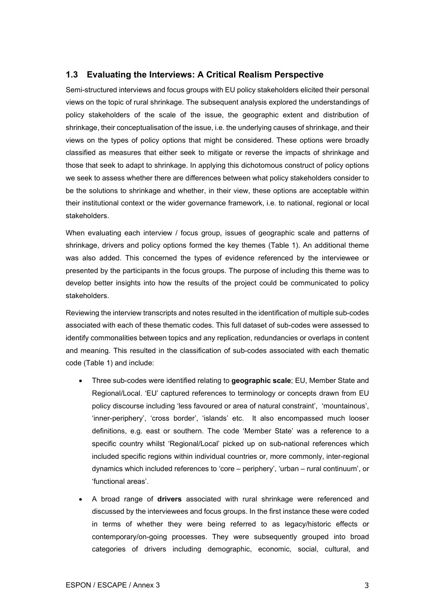#### <span id="page-8-0"></span>**1.3 Evaluating the Interviews: A Critical Realism Perspective**

Semi-structured interviews and focus groups with EU policy stakeholders elicited their personal views on the topic of rural shrinkage. The subsequent analysis explored the understandings of policy stakeholders of the scale of the issue, the geographic extent and distribution of shrinkage, their conceptualisation of the issue, i.e. the underlying causes of shrinkage, and their views on the types of policy options that might be considered. These options were broadly classified as measures that either seek to mitigate or reverse the impacts of shrinkage and those that seek to adapt to shrinkage. In applying this dichotomous construct of policy options we seek to assess whether there are differences between what policy stakeholders consider to be the solutions to shrinkage and whether, in their view, these options are acceptable within their institutional context or the wider governance framework, i.e. to national, regional or local stakeholders.

When evaluating each interview / focus group, issues of geographic scale and patterns of shrinkage, drivers and policy options formed the key themes (Table 1). An additional theme was also added. This concerned the types of evidence referenced by the interviewee or presented by the participants in the focus groups. The purpose of including this theme was to develop better insights into how the results of the project could be communicated to policy stakeholders.

Reviewing the interview transcripts and notes resulted in the identification of multiple sub-codes associated with each of these thematic codes. This full dataset of sub-codes were assessed to identify commonalities between topics and any replication, redundancies or overlaps in content and meaning. This resulted in the classification of sub-codes associated with each thematic code (Table 1) and include:

- Three sub-codes were identified relating to **geographic scale**; EU, Member State and Regional/Local. 'EU' captured references to terminology or concepts drawn from EU policy discourse including 'less favoured or area of natural constraint', 'mountainous', 'inner-periphery', 'cross border', 'islands' etc. It also encompassed much looser definitions, e.g. east or southern. The code 'Member State' was a reference to a specific country whilst 'Regional/Local' picked up on sub-national references which included specific regions within individual countries or, more commonly, inter-regional dynamics which included references to 'core – periphery', 'urban – rural continuum', or 'functional areas'.
- A broad range of **drivers** associated with rural shrinkage were referenced and discussed by the interviewees and focus groups. In the first instance these were coded in terms of whether they were being referred to as legacy/historic effects or contemporary/on-going processes. They were subsequently grouped into broad categories of drivers including demographic, economic, social, cultural, and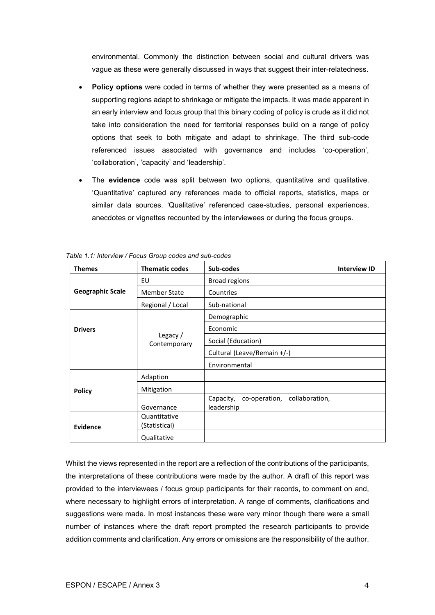environmental. Commonly the distinction between social and cultural drivers was vague as these were generally discussed in ways that suggest their inter-relatedness.

- **Policy options** were coded in terms of whether they were presented as a means of supporting regions adapt to shrinkage or mitigate the impacts. It was made apparent in an early interview and focus group that this binary coding of policy is crude as it did not take into consideration the need for territorial responses build on a range of policy options that seek to both mitigate and adapt to shrinkage. The third sub-code referenced issues associated with governance and includes 'co-operation', 'collaboration', 'capacity' and 'leadership'.
- The **evidence** code was split between two options, quantitative and qualitative. 'Quantitative' captured any references made to official reports, statistics, maps or similar data sources. 'Qualitative' referenced case-studies, personal experiences, anecdotes or vignettes recounted by the interviewees or during the focus groups.

| <b>Themes</b>           | <b>Thematic codes</b>         | Sub-codes                                            | <b>Interview ID</b> |
|-------------------------|-------------------------------|------------------------------------------------------|---------------------|
|                         | EU                            | <b>Broad regions</b>                                 |                     |
| <b>Geographic Scale</b> | <b>Member State</b>           | Countries                                            |                     |
|                         | Regional / Local              | Sub-national                                         |                     |
|                         |                               | Demographic                                          |                     |
| <b>Drivers</b>          | Legacy /<br>Contemporary      | Economic                                             |                     |
|                         |                               | Social (Education)                                   |                     |
|                         |                               | Cultural (Leave/Remain +/-)                          |                     |
|                         |                               | Environmental                                        |                     |
|                         | Adaption                      |                                                      |                     |
| <b>Policy</b>           | Mitigation                    |                                                      |                     |
|                         | Governance                    | Capacity, co-operation, collaboration,<br>leadership |                     |
| Evidence                | Quantitative<br>(Statistical) |                                                      |                     |
|                         | Qualitative                   |                                                      |                     |

<span id="page-9-0"></span>*Table 1.1: Interview / Focus Group codes and sub-codes*

Whilst the views represented in the report are a reflection of the contributions of the participants, the interpretations of these contributions were made by the author. A draft of this report was provided to the interviewees / focus group participants for their records, to comment on and, where necessary to highlight errors of interpretation. A range of comments, clarifications and suggestions were made. In most instances these were very minor though there were a small number of instances where the draft report prompted the research participants to provide addition comments and clarification. Any errors or omissions are the responsibility of the author.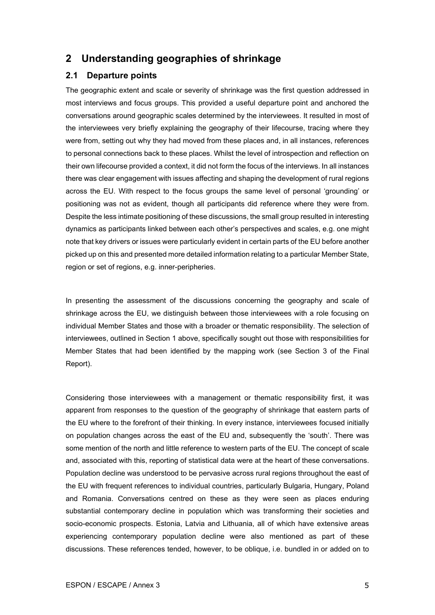## <span id="page-10-0"></span>**2 Understanding geographies of shrinkage**

#### <span id="page-10-1"></span>**2.1 Departure points**

The geographic extent and scale or severity of shrinkage was the first question addressed in most interviews and focus groups. This provided a useful departure point and anchored the conversations around geographic scales determined by the interviewees. It resulted in most of the interviewees very briefly explaining the geography of their lifecourse, tracing where they were from, setting out why they had moved from these places and, in all instances, references to personal connections back to these places. Whilst the level of introspection and reflection on their own lifecourse provided a context, it did not form the focus of the interviews. In all instances there was clear engagement with issues affecting and shaping the development of rural regions across the EU. With respect to the focus groups the same level of personal 'grounding' or positioning was not as evident, though all participants did reference where they were from. Despite the less intimate positioning of these discussions, the small group resulted in interesting dynamics as participants linked between each other's perspectives and scales, e.g. one might note that key drivers or issues were particularly evident in certain parts of the EU before another picked up on this and presented more detailed information relating to a particular Member State, region or set of regions, e.g. inner-peripheries.

In presenting the assessment of the discussions concerning the geography and scale of shrinkage across the EU, we distinguish between those interviewees with a role focusing on individual Member States and those with a broader or thematic responsibility. The selection of interviewees, outlined in Section 1 above, specifically sought out those with responsibilities for Member States that had been identified by the mapping work (see Section 3 of the Final Report).

Considering those interviewees with a management or thematic responsibility first, it was apparent from responses to the question of the geography of shrinkage that eastern parts of the EU where to the forefront of their thinking. In every instance, interviewees focused initially on population changes across the east of the EU and, subsequently the 'south'. There was some mention of the north and little reference to western parts of the EU. The concept of scale and, associated with this, reporting of statistical data were at the heart of these conversations. Population decline was understood to be pervasive across rural regions throughout the east of the EU with frequent references to individual countries, particularly Bulgaria, Hungary, Poland and Romania. Conversations centred on these as they were seen as places enduring substantial contemporary decline in population which was transforming their societies and socio-economic prospects. Estonia, Latvia and Lithuania, all of which have extensive areas experiencing contemporary population decline were also mentioned as part of these discussions. These references tended, however, to be oblique, i.e. bundled in or added on to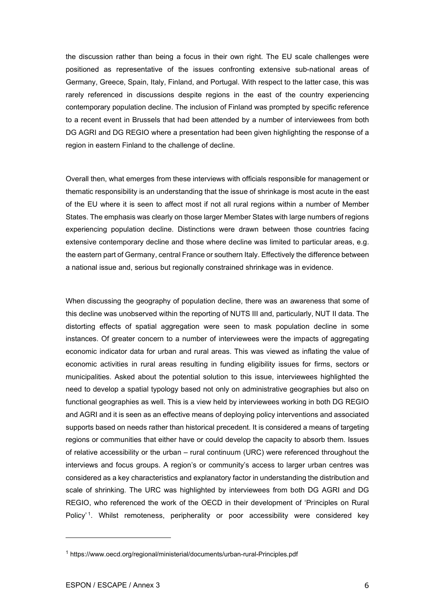the discussion rather than being a focus in their own right. The EU scale challenges were positioned as representative of the issues confronting extensive sub-national areas of Germany, Greece, Spain, Italy, Finland, and Portugal. With respect to the latter case, this was rarely referenced in discussions despite regions in the east of the country experiencing contemporary population decline. The inclusion of Finland was prompted by specific reference to a recent event in Brussels that had been attended by a number of interviewees from both DG AGRI and DG REGIO where a presentation had been given highlighting the response of a region in eastern Finland to the challenge of decline.

Overall then, what emerges from these interviews with officials responsible for management or thematic responsibility is an understanding that the issue of shrinkage is most acute in the east of the EU where it is seen to affect most if not all rural regions within a number of Member States. The emphasis was clearly on those larger Member States with large numbers of regions experiencing population decline. Distinctions were drawn between those countries facing extensive contemporary decline and those where decline was limited to particular areas, e.g. the eastern part of Germany, central France or southern Italy. Effectively the difference between a national issue and, serious but regionally constrained shrinkage was in evidence.

When discussing the geography of population decline, there was an awareness that some of this decline was unobserved within the reporting of NUTS III and, particularly, NUT II data. The distorting effects of spatial aggregation were seen to mask population decline in some instances. Of greater concern to a number of interviewees were the impacts of aggregating economic indicator data for urban and rural areas. This was viewed as inflating the value of economic activities in rural areas resulting in funding eligibility issues for firms, sectors or municipalities. Asked about the potential solution to this issue, interviewees highlighted the need to develop a spatial typology based not only on administrative geographies but also on functional geographies as well. This is a view held by interviewees working in both DG REGIO and AGRI and it is seen as an effective means of deploying policy interventions and associated supports based on needs rather than historical precedent. It is considered a means of targeting regions or communities that either have or could develop the capacity to absorb them. Issues of relative accessibility or the urban – rural continuum (URC) were referenced throughout the interviews and focus groups. A region's or community's access to larger urban centres was considered as a key characteristics and explanatory factor in understanding the distribution and scale of shrinking. The URC was highlighted by interviewees from both DG AGRI and DG REGIO, who referenced the work of the OECD in their development of 'Principles on Rural Policy'<sup>[1](#page-11-0)</sup>. Whilst remoteness, peripherality or poor accessibility were considered key

<span id="page-11-0"></span><sup>1</sup> https://www.oecd.org/regional/ministerial/documents/urban-rural-Principles.pdf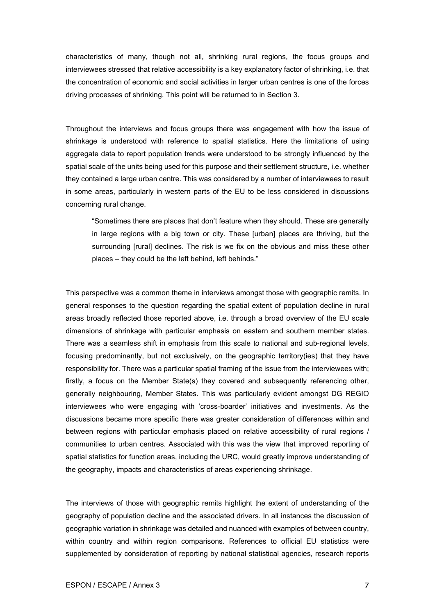characteristics of many, though not all, shrinking rural regions, the focus groups and interviewees stressed that relative accessibility is a key explanatory factor of shrinking, i.e. that the concentration of economic and social activities in larger urban centres is one of the forces driving processes of shrinking. This point will be returned to in Section 3.

Throughout the interviews and focus groups there was engagement with how the issue of shrinkage is understood with reference to spatial statistics. Here the limitations of using aggregate data to report population trends were understood to be strongly influenced by the spatial scale of the units being used for this purpose and their settlement structure, i.e. whether they contained a large urban centre. This was considered by a number of interviewees to result in some areas, particularly in western parts of the EU to be less considered in discussions concerning rural change.

"Sometimes there are places that don't feature when they should. These are generally in large regions with a big town or city. These [urban] places are thriving, but the surrounding [rural] declines. The risk is we fix on the obvious and miss these other places – they could be the left behind, left behinds."

This perspective was a common theme in interviews amongst those with geographic remits. In general responses to the question regarding the spatial extent of population decline in rural areas broadly reflected those reported above, i.e. through a broad overview of the EU scale dimensions of shrinkage with particular emphasis on eastern and southern member states. There was a seamless shift in emphasis from this scale to national and sub-regional levels, focusing predominantly, but not exclusively, on the geographic territory(ies) that they have responsibility for. There was a particular spatial framing of the issue from the interviewees with; firstly, a focus on the Member State(s) they covered and subsequently referencing other, generally neighbouring, Member States. This was particularly evident amongst DG REGIO interviewees who were engaging with 'cross-boarder' initiatives and investments. As the discussions became more specific there was greater consideration of differences within and between regions with particular emphasis placed on relative accessibility of rural regions / communities to urban centres. Associated with this was the view that improved reporting of spatial statistics for function areas, including the URC, would greatly improve understanding of the geography, impacts and characteristics of areas experiencing shrinkage.

The interviews of those with geographic remits highlight the extent of understanding of the geography of population decline and the associated drivers. In all instances the discussion of geographic variation in shrinkage was detailed and nuanced with examples of between country, within country and within region comparisons. References to official EU statistics were supplemented by consideration of reporting by national statistical agencies, research reports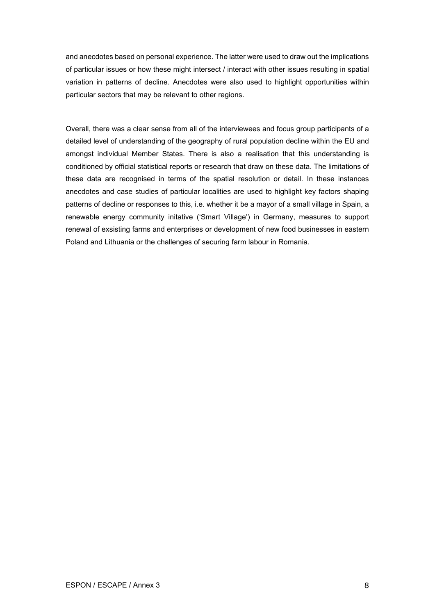and anecdotes based on personal experience. The latter were used to draw out the implications of particular issues or how these might intersect / interact with other issues resulting in spatial variation in patterns of decline. Anecdotes were also used to highlight opportunities within particular sectors that may be relevant to other regions.

Overall, there was a clear sense from all of the interviewees and focus group participants of a detailed level of understanding of the geography of rural population decline within the EU and amongst individual Member States. There is also a realisation that this understanding is conditioned by official statistical reports or research that draw on these data. The limitations of these data are recognised in terms of the spatial resolution or detail. In these instances anecdotes and case studies of particular localities are used to highlight key factors shaping patterns of decline or responses to this, i.e. whether it be a mayor of a small village in Spain, a renewable energy community initative ('Smart Village') in Germany, measures to support renewal of exsisting farms and enterprises or development of new food businesses in eastern Poland and Lithuania or the challenges of securing farm labour in Romania.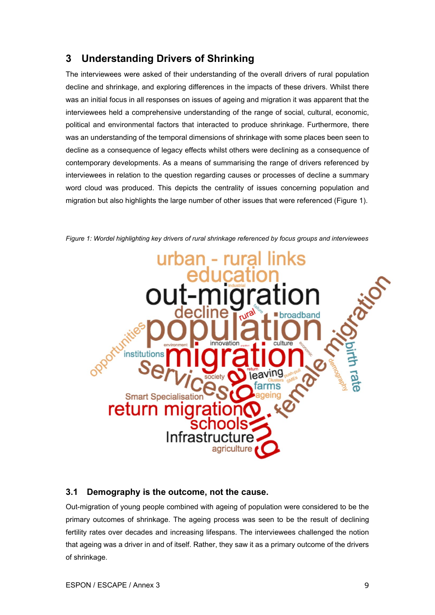## <span id="page-14-0"></span>**3 Understanding Drivers of Shrinking**

The interviewees were asked of their understanding of the overall drivers of rural population decline and shrinkage, and exploring differences in the impacts of these drivers. Whilst there was an initial focus in all responses on issues of ageing and migration it was apparent that the interviewees held a comprehensive understanding of the range of social, cultural, economic, political and environmental factors that interacted to produce shrinkage. Furthermore, there was an understanding of the temporal dimensions of shrinkage with some places been seen to decline as a consequence of legacy effects whilst others were declining as a consequence of contemporary developments. As a means of summarising the range of drivers referenced by interviewees in relation to the question regarding causes or processes of decline a summary word cloud was produced. This depicts the centrality of issues concerning population and migration but also highlights the large number of other issues that were referenced (Figure 1).

<span id="page-14-2"></span>

*Figure 1: Wordel highlighting key drivers of rural shrinkage referenced by focus groups and interviewees*

## <span id="page-14-1"></span>**3.1 Demography is the outcome, not the cause.**

Out-migration of young people combined with ageing of population were considered to be the primary outcomes of shrinkage. The ageing process was seen to be the result of declining fertility rates over decades and increasing lifespans. The interviewees challenged the notion that ageing was a driver in and of itself. Rather, they saw it as a primary outcome of the drivers of shrinkage.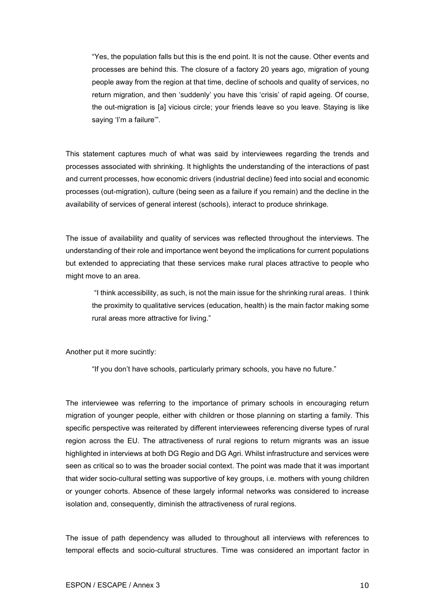"Yes, the population falls but this is the end point. It is not the cause. Other events and processes are behind this. The closure of a factory 20 years ago, migration of young people away from the region at that time, decline of schools and quality of services, no return migration, and then 'suddenly' you have this 'crisis' of rapid ageing. Of course, the out-migration is [a] vicious circle; your friends leave so you leave. Staying is like saying 'I'm a failure".

This statement captures much of what was said by interviewees regarding the trends and processes associated with shrinking. It highlights the understanding of the interactions of past and current processes, how economic drivers (industrial decline) feed into social and economic processes (out-migration), culture (being seen as a failure if you remain) and the decline in the availability of services of general interest (schools), interact to produce shrinkage.

The issue of availability and quality of services was reflected throughout the interviews. The understanding of their role and importance went beyond the implications for current populations but extended to appreciating that these services make rural places attractive to people who might move to an area.

"I think accessibility, as such, is not the main issue for the shrinking rural areas. I think the proximity to qualitative services (education, health) is the main factor making some rural areas more attractive for living."

Another put it more sucintly:

"If you don't have schools, particularly primary schools, you have no future."

The interviewee was referring to the importance of primary schools in encouraging return migration of younger people, either with children or those planning on starting a family. This specific perspective was reiterated by different interviewees referencing diverse types of rural region across the EU. The attractiveness of rural regions to return migrants was an issue highlighted in interviews at both DG Regio and DG Agri. Whilst infrastructure and services were seen as critical so to was the broader social context. The point was made that it was important that wider socio-cultural setting was supportive of key groups, i.e. mothers with young children or younger cohorts. Absence of these largely informal networks was considered to increase isolation and, consequently, diminish the attractiveness of rural regions.

The issue of path dependency was alluded to throughout all interviews with references to temporal effects and socio-cultural structures. Time was considered an important factor in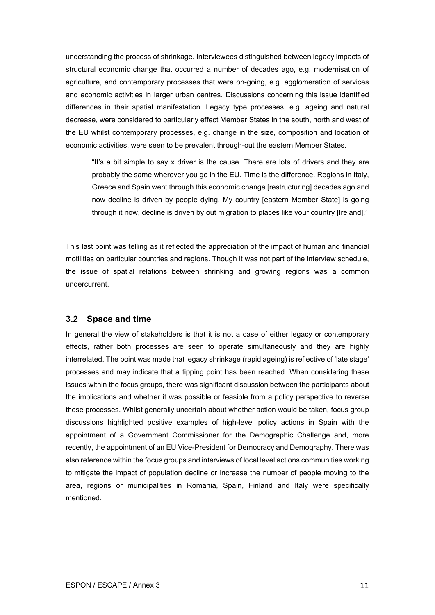understanding the process of shrinkage. Interviewees distinguished between legacy impacts of structural economic change that occurred a number of decades ago, e.g. modernisation of agriculture, and contemporary processes that were on-going, e.g. agglomeration of services and economic activities in larger urban centres. Discussions concerning this issue identified differences in their spatial manifestation. Legacy type processes, e.g. ageing and natural decrease, were considered to particularly effect Member States in the south, north and west of the EU whilst contemporary processes, e.g. change in the size, composition and location of economic activities, were seen to be prevalent through-out the eastern Member States.

"It's a bit simple to say x driver is the cause. There are lots of drivers and they are probably the same wherever you go in the EU. Time is the difference. Regions in Italy, Greece and Spain went through this economic change [restructuring] decades ago and now decline is driven by people dying. My country [eastern Member State] is going through it now, decline is driven by out migration to places like your country [Ireland]."

This last point was telling as it reflected the appreciation of the impact of human and financial motilities on particular countries and regions. Though it was not part of the interview schedule, the issue of spatial relations between shrinking and growing regions was a common undercurrent.

#### <span id="page-16-0"></span>**3.2 Space and time**

In general the view of stakeholders is that it is not a case of either legacy or contemporary effects, rather both processes are seen to operate simultaneously and they are highly interrelated. The point was made that legacy shrinkage (rapid ageing) is reflective of 'late stage' processes and may indicate that a tipping point has been reached. When considering these issues within the focus groups, there was significant discussion between the participants about the implications and whether it was possible or feasible from a policy perspective to reverse these processes. Whilst generally uncertain about whether action would be taken, focus group discussions highlighted positive examples of high-level policy actions in Spain with the appointment of a Government Commissioner for the Demographic Challenge and, more recently, the appointment of an EU Vice-President for Democracy and Demography. There was also reference within the focus groups and interviews of local level actions communities working to mitigate the impact of population decline or increase the number of people moving to the area, regions or municipalities in Romania, Spain, Finland and Italy were specifically mentioned.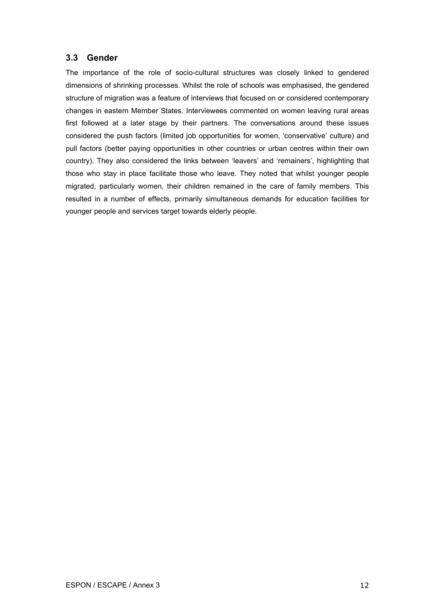### <span id="page-17-0"></span>**3.3 Gender**

The importance of the role of socio-cultural structures was closely linked to gendered dimensions of shrinking processes. Whilst the role of schools was emphasised, the gendered structure of migration was a feature of interviews that focused on or considered contemporary changes in eastern Member States. Interviewees commented on women leaving rural areas first followed at a later stage by their partners. The conversations around these issues considered the push factors (limited job opportunities for women, 'conservative' culture) and pull factors (better paying opportunities in other countries or urban centres within their own country). They also considered the links between 'leavers' and 'remainers', highlighting that those who stay in place facilitate those who leave. They noted that whilst younger people migrated, particularly women, their children remained in the care of family members. This resulted in a number of effects, primarily simultaneous demands for education facilities for younger people and services target towards elderly people.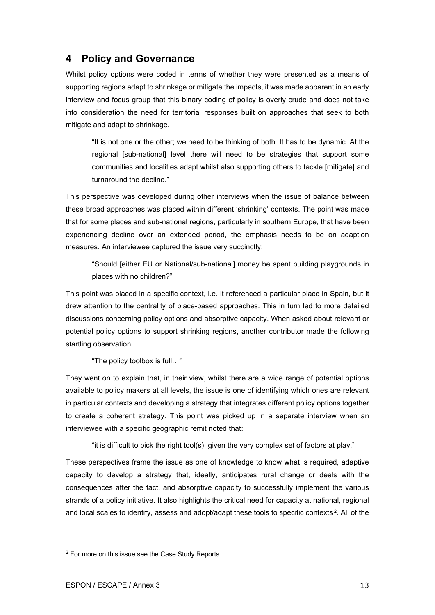## <span id="page-18-0"></span>**4 Policy and Governance**

Whilst policy options were coded in terms of whether they were presented as a means of supporting regions adapt to shrinkage or mitigate the impacts, it was made apparent in an early interview and focus group that this binary coding of policy is overly crude and does not take into consideration the need for territorial responses built on approaches that seek to both mitigate and adapt to shrinkage.

"It is not one or the other; we need to be thinking of both. It has to be dynamic. At the regional [sub-national] level there will need to be strategies that support some communities and localities adapt whilst also supporting others to tackle [mitigate] and turnaround the decline."

This perspective was developed during other interviews when the issue of balance between these broad approaches was placed within different 'shrinking' contexts. The point was made that for some places and sub-national regions, particularly in southern Europe, that have been experiencing decline over an extended period, the emphasis needs to be on adaption measures. An interviewee captured the issue very succinctly:

"Should [either EU or National/sub-national] money be spent building playgrounds in places with no children?"

This point was placed in a specific context, i.e. it referenced a particular place in Spain, but it drew attention to the centrality of place-based approaches. This in turn led to more detailed discussions concerning policy options and absorptive capacity. When asked about relevant or potential policy options to support shrinking regions, another contributor made the following startling observation;

"The policy toolbox is full…"

They went on to explain that, in their view, whilst there are a wide range of potential options available to policy makers at all levels, the issue is one of identifying which ones are relevant in particular contexts and developing a strategy that integrates different policy options together to create a coherent strategy. This point was picked up in a separate interview when an interviewee with a specific geographic remit noted that:

"it is difficult to pick the right tool(s), given the very complex set of factors at play."

These perspectives frame the issue as one of knowledge to know what is required, adaptive capacity to develop a strategy that, ideally, anticipates rural change or deals with the consequences after the fact, and absorptive capacity to successfully implement the various strands of a policy initiative. It also highlights the critical need for capacity at national, regional and local scales to identify, assess and adopt/adapt these tools to specific contexts<sup>[2](#page-18-1)</sup>. All of the

<span id="page-18-1"></span><sup>2</sup> For more on this issue see the Case Study Reports.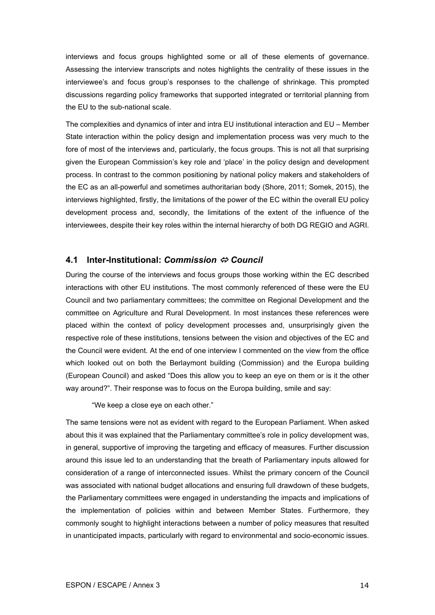interviews and focus groups highlighted some or all of these elements of governance. Assessing the interview transcripts and notes highlights the centrality of these issues in the interviewee's and focus group's responses to the challenge of shrinkage. This prompted discussions regarding policy frameworks that supported integrated or territorial planning from the EU to the sub-national scale.

The complexities and dynamics of inter and intra EU institutional interaction and EU – Member State interaction within the policy design and implementation process was very much to the fore of most of the interviews and, particularly, the focus groups. This is not all that surprising given the European Commission's key role and 'place' in the policy design and development process. In contrast to the common positioning by national policy makers and stakeholders of the EC as an all-powerful and sometimes authoritarian body (Shore, 2011; Somek, 2015), the interviews highlighted, firstly, the limitations of the power of the EC within the overall EU policy development process and, secondly, the limitations of the extent of the influence of the interviewees, despite their key roles within the internal hierarchy of both DG REGIO and AGRI.

#### <span id="page-19-0"></span>**4.1 Inter-Institutional:** *Commission Council*

During the course of the interviews and focus groups those working within the EC described interactions with other EU institutions. The most commonly referenced of these were the EU Council and two parliamentary committees; the committee on Regional Development and the committee on Agriculture and Rural Development. In most instances these references were placed within the context of policy development processes and, unsurprisingly given the respective role of these institutions, tensions between the vision and objectives of the EC and the Council were evident. At the end of one interview I commented on the view from the office which looked out on both the Berlaymont building (Commission) and the Europa building (European Council) and asked "Does this allow you to keep an eye on them or is it the other way around?". Their response was to focus on the Europa building, smile and say:

"We keep a close eye on each other."

The same tensions were not as evident with regard to the European Parliament. When asked about this it was explained that the Parliamentary committee's role in policy development was, in general, supportive of improving the targeting and efficacy of measures. Further discussion around this issue led to an understanding that the breath of Parliamentary inputs allowed for consideration of a range of interconnected issues. Whilst the primary concern of the Council was associated with national budget allocations and ensuring full drawdown of these budgets, the Parliamentary committees were engaged in understanding the impacts and implications of the implementation of policies within and between Member States. Furthermore, they commonly sought to highlight interactions between a number of policy measures that resulted in unanticipated impacts, particularly with regard to environmental and socio-economic issues.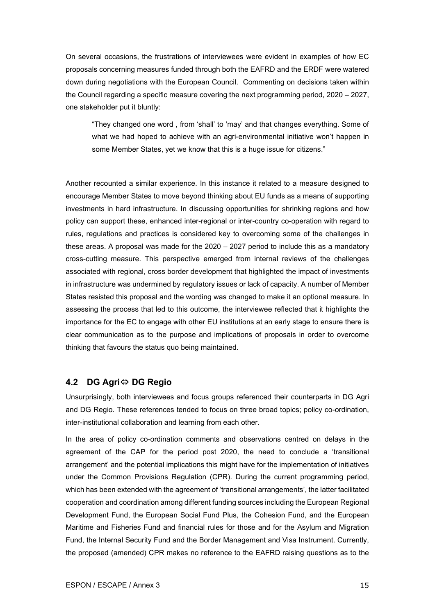On several occasions, the frustrations of interviewees were evident in examples of how EC proposals concerning measures funded through both the EAFRD and the ERDF were watered down during negotiations with the European Council. Commenting on decisions taken within the Council regarding a specific measure covering the next programming period, 2020 – 2027, one stakeholder put it bluntly:

"They changed one word , from 'shall' to 'may' and that changes everything. Some of what we had hoped to achieve with an agri-environmental initiative won't happen in some Member States, yet we know that this is a huge issue for citizens."

Another recounted a similar experience. In this instance it related to a measure designed to encourage Member States to move beyond thinking about EU funds as a means of supporting investments in hard infrastructure. In discussing opportunities for shrinking regions and how policy can support these, enhanced inter-regional or inter-country co-operation with regard to rules, regulations and practices is considered key to overcoming some of the challenges in these areas. A proposal was made for the 2020 – 2027 period to include this as a mandatory cross-cutting measure. This perspective emerged from internal reviews of the challenges associated with regional, cross border development that highlighted the impact of investments in infrastructure was undermined by regulatory issues or lack of capacity. A number of Member States resisted this proposal and the wording was changed to make it an optional measure. In assessing the process that led to this outcome, the interviewee reflected that it highlights the importance for the EC to engage with other EU institutions at an early stage to ensure there is clear communication as to the purpose and implications of proposals in order to overcome thinking that favours the status quo being maintained.

#### <span id="page-20-0"></span>**4.2 DG Agri DG Regio**

Unsurprisingly, both interviewees and focus groups referenced their counterparts in DG Agri and DG Regio. These references tended to focus on three broad topics; policy co-ordination, inter-institutional collaboration and learning from each other.

In the area of policy co-ordination comments and observations centred on delays in the agreement of the CAP for the period post 2020, the need to conclude a 'transitional arrangement' and the potential implications this might have for the implementation of initiatives under the Common Provisions Regulation (CPR). During the current programming period, which has been extended with the agreement of 'transitional arrangements', the latter facilitated cooperation and coordination among different funding sources including the European Regional Development Fund, the European Social Fund Plus, the Cohesion Fund, and the European Maritime and Fisheries Fund and financial rules for those and for the Asylum and Migration Fund, the Internal Security Fund and the Border Management and Visa Instrument. Currently, the proposed (amended) CPR makes no reference to the EAFRD raising questions as to the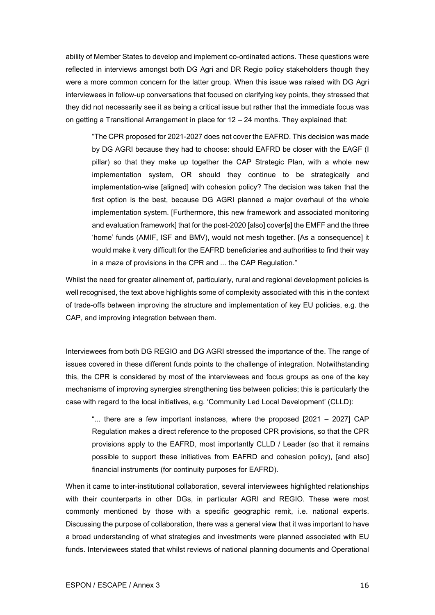ability of Member States to develop and implement co-ordinated actions. These questions were reflected in interviews amongst both DG Agri and DR Regio policy stakeholders though they were a more common concern for the latter group. When this issue was raised with DG Agri interviewees in follow-up conversations that focused on clarifying key points, they stressed that they did not necessarily see it as being a critical issue but rather that the immediate focus was on getting a Transitional Arrangement in place for 12 – 24 months. They explained that:

"The CPR proposed for 2021-2027 does not cover the EAFRD. This decision was made by DG AGRI because they had to choose: should EAFRD be closer with the EAGF (I pillar) so that they make up together the CAP Strategic Plan, with a whole new implementation system, OR should they continue to be strategically and implementation-wise [aligned] with cohesion policy? The decision was taken that the first option is the best, because DG AGRI planned a major overhaul of the whole implementation system. [Furthermore, this new framework and associated monitoring and evaluation framework] that for the post-2020 [also] cover[s] the EMFF and the three 'home' funds (AMIF, ISF and BMV), would not mesh together. [As a consequence] it would make it very difficult for the EAFRD beneficiaries and authorities to find their way in a maze of provisions in the CPR and ... the CAP Regulation."

Whilst the need for greater alinement of, particularly, rural and regional development policies is well recognised, the text above highlights some of complexity associated with this in the context of trade-offs between improving the structure and implementation of key EU policies, e.g. the CAP, and improving integration between them.

Interviewees from both DG REGIO and DG AGRI stressed the importance of the. The range of issues covered in these different funds points to the challenge of integration. Notwithstanding this, the CPR is considered by most of the interviewees and focus groups as one of the key mechanisms of improving synergies strengthening ties between policies; this is particularly the case with regard to the local initiatives, e.g. 'Community Led Local Development' (CLLD):

"... there are a few important instances, where the proposed [2021 – 2027] CAP Regulation makes a direct reference to the proposed CPR provisions, so that the CPR provisions apply to the EAFRD, most importantly CLLD / Leader (so that it remains possible to support these initiatives from EAFRD and cohesion policy), [and also] financial instruments (for continuity purposes for EAFRD).

When it came to inter-institutional collaboration, several interviewees highlighted relationships with their counterparts in other DGs, in particular AGRI and REGIO. These were most commonly mentioned by those with a specific geographic remit, i.e. national experts. Discussing the purpose of collaboration, there was a general view that it was important to have a broad understanding of what strategies and investments were planned associated with EU funds. Interviewees stated that whilst reviews of national planning documents and Operational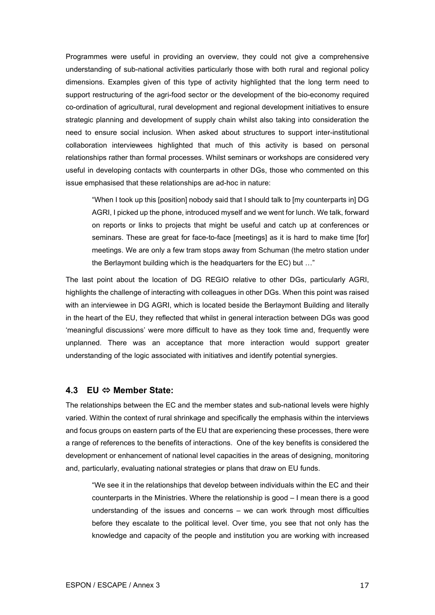Programmes were useful in providing an overview, they could not give a comprehensive understanding of sub-national activities particularly those with both rural and regional policy dimensions. Examples given of this type of activity highlighted that the long term need to support restructuring of the agri-food sector or the development of the bio-economy required co-ordination of agricultural, rural development and regional development initiatives to ensure strategic planning and development of supply chain whilst also taking into consideration the need to ensure social inclusion. When asked about structures to support inter-institutional collaboration interviewees highlighted that much of this activity is based on personal relationships rather than formal processes. Whilst seminars or workshops are considered very useful in developing contacts with counterparts in other DGs, those who commented on this issue emphasised that these relationships are ad-hoc in nature:

"When I took up this [position] nobody said that I should talk to [my counterparts in] DG AGRI, I picked up the phone, introduced myself and we went for lunch. We talk, forward on reports or links to projects that might be useful and catch up at conferences or seminars. These are great for face-to-face [meetings] as it is hard to make time [for] meetings. We are only a few tram stops away from Schuman (the metro station under the Berlaymont building which is the headquarters for the EC) but …"

The last point about the location of DG REGIO relative to other DGs, particularly AGRI, highlights the challenge of interacting with colleagues in other DGs. When this point was raised with an interviewee in DG AGRI, which is located beside the Berlaymont Building and literally in the heart of the EU, they reflected that whilst in general interaction between DGs was good 'meaningful discussions' were more difficult to have as they took time and, frequently were unplanned. There was an acceptance that more interaction would support greater understanding of the logic associated with initiatives and identify potential synergies.

#### <span id="page-22-0"></span>**4.3 EU Member State:**

The relationships between the EC and the member states and sub-national levels were highly varied. Within the context of rural shrinkage and specifically the emphasis within the interviews and focus groups on eastern parts of the EU that are experiencing these processes, there were a range of references to the benefits of interactions. One of the key benefits is considered the development or enhancement of national level capacities in the areas of designing, monitoring and, particularly, evaluating national strategies or plans that draw on EU funds.

"We see it in the relationships that develop between individuals within the EC and their counterparts in the Ministries. Where the relationship is good – I mean there is a good understanding of the issues and concerns – we can work through most difficulties before they escalate to the political level. Over time, you see that not only has the knowledge and capacity of the people and institution you are working with increased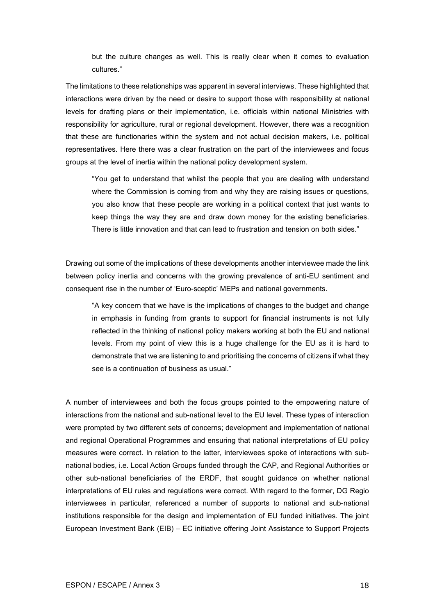but the culture changes as well. This is really clear when it comes to evaluation cultures."

The limitations to these relationships was apparent in several interviews. These highlighted that interactions were driven by the need or desire to support those with responsibility at national levels for drafting plans or their implementation, i.e. officials within national Ministries with responsibility for agriculture, rural or regional development. However, there was a recognition that these are functionaries within the system and not actual decision makers, i.e. political representatives. Here there was a clear frustration on the part of the interviewees and focus groups at the level of inertia within the national policy development system.

"You get to understand that whilst the people that you are dealing with understand where the Commission is coming from and why they are raising issues or questions, you also know that these people are working in a political context that just wants to keep things the way they are and draw down money for the existing beneficiaries. There is little innovation and that can lead to frustration and tension on both sides."

Drawing out some of the implications of these developments another interviewee made the link between policy inertia and concerns with the growing prevalence of anti-EU sentiment and consequent rise in the number of 'Euro-sceptic' MEPs and national governments.

"A key concern that we have is the implications of changes to the budget and change in emphasis in funding from grants to support for financial instruments is not fully reflected in the thinking of national policy makers working at both the EU and national levels. From my point of view this is a huge challenge for the EU as it is hard to demonstrate that we are listening to and prioritising the concerns of citizens if what they see is a continuation of business as usual."

A number of interviewees and both the focus groups pointed to the empowering nature of interactions from the national and sub-national level to the EU level. These types of interaction were prompted by two different sets of concerns; development and implementation of national and regional Operational Programmes and ensuring that national interpretations of EU policy measures were correct. In relation to the latter, interviewees spoke of interactions with subnational bodies, i.e. Local Action Groups funded through the CAP, and Regional Authorities or other sub-national beneficiaries of the ERDF, that sought guidance on whether national interpretations of EU rules and regulations were correct. With regard to the former, DG Regio interviewees in particular, referenced a number of supports to national and sub-national institutions responsible for the design and implementation of EU funded initiatives. The joint European Investment Bank (EIB) – EC initiative offering Joint Assistance to Support Projects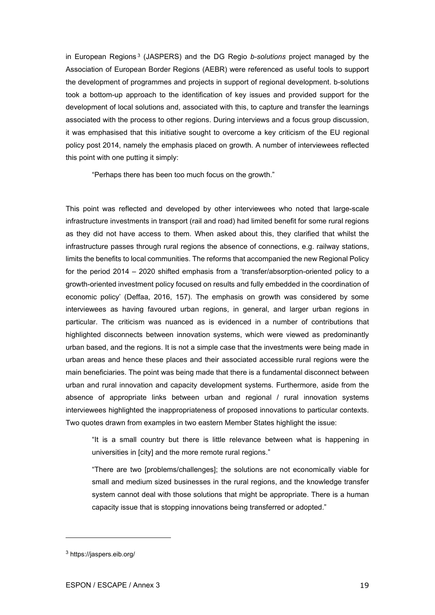in European Regions [3](#page-24-0) (JASPERS) and the DG Regio *b-solutions* project managed by the Association of European Border Regions (AEBR) were referenced as useful tools to support the development of programmes and projects in support of regional development. b-solutions took a bottom-up approach to the identification of key issues and provided support for the development of local solutions and, associated with this, to capture and transfer the learnings associated with the process to other regions. During interviews and a focus group discussion, it was emphasised that this initiative sought to overcome a key criticism of the EU regional policy post 2014, namely the emphasis placed on growth. A number of interviewees reflected this point with one putting it simply:

"Perhaps there has been too much focus on the growth."

This point was reflected and developed by other interviewees who noted that large-scale infrastructure investments in transport (rail and road) had limited benefit for some rural regions as they did not have access to them. When asked about this, they clarified that whilst the infrastructure passes through rural regions the absence of connections, e.g. railway stations, limits the benefits to local communities. The reforms that accompanied the new Regional Policy for the period 2014 – 2020 shifted emphasis from a 'transfer/absorption-oriented policy to a growth-oriented investment policy focused on results and fully embedded in the coordination of economic policy' (Deffaa, 2016, 157). The emphasis on growth was considered by some interviewees as having favoured urban regions, in general, and larger urban regions in particular. The criticism was nuanced as is evidenced in a number of contributions that highlighted disconnects between innovation systems, which were viewed as predominantly urban based, and the regions. It is not a simple case that the investments were being made in urban areas and hence these places and their associated accessible rural regions were the main beneficiaries. The point was being made that there is a fundamental disconnect between urban and rural innovation and capacity development systems. Furthermore, aside from the absence of appropriate links between urban and regional / rural innovation systems interviewees highlighted the inappropriateness of proposed innovations to particular contexts. Two quotes drawn from examples in two eastern Member States highlight the issue:

"It is a small country but there is little relevance between what is happening in universities in [city] and the more remote rural regions."

"There are two [problems/challenges]; the solutions are not economically viable for small and medium sized businesses in the rural regions, and the knowledge transfer system cannot deal with those solutions that might be appropriate. There is a human capacity issue that is stopping innovations being transferred or adopted."

<span id="page-24-0"></span><sup>3</sup> <https://jaspers.eib.org/>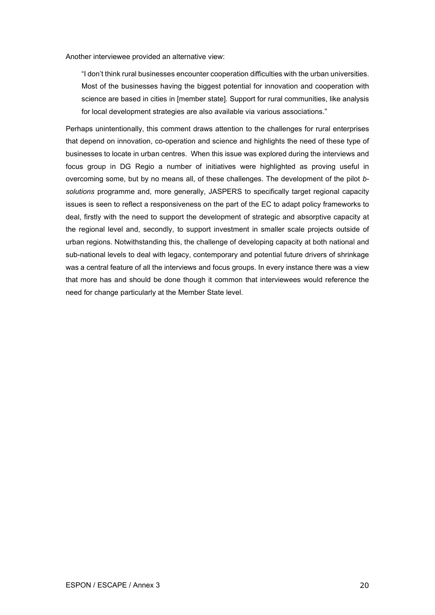Another interviewee provided an alternative view:

"I don't think rural businesses encounter cooperation difficulties with the urban universities. Most of the businesses having the biggest potential for innovation and cooperation with science are based in cities in [member state]. Support for rural communities, like analysis for local development strategies are also available via various associations."

Perhaps unintentionally, this comment draws attention to the challenges for rural enterprises that depend on innovation, co-operation and science and highlights the need of these type of businesses to locate in urban centres. When this issue was explored during the interviews and focus group in DG Regio a number of initiatives were highlighted as proving useful in overcoming some, but by no means all, of these challenges. The development of the pilot *bsolutions* programme and, more generally, JASPERS to specifically target regional capacity issues is seen to reflect a responsiveness on the part of the EC to adapt policy frameworks to deal, firstly with the need to support the development of strategic and absorptive capacity at the regional level and, secondly, to support investment in smaller scale projects outside of urban regions. Notwithstanding this, the challenge of developing capacity at both national and sub-national levels to deal with legacy, contemporary and potential future drivers of shrinkage was a central feature of all the interviews and focus groups. In every instance there was a view that more has and should be done though it common that interviewees would reference the need for change particularly at the Member State level.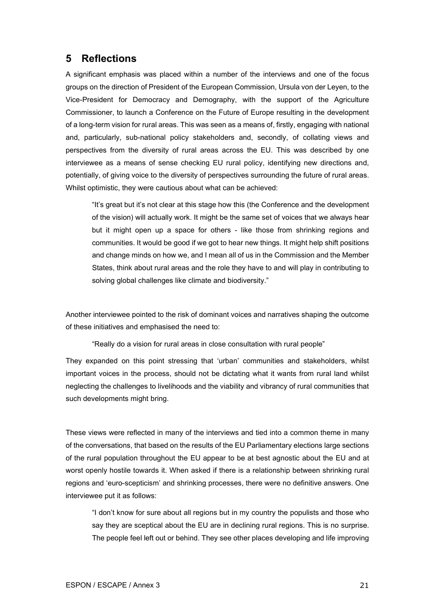## <span id="page-26-0"></span>**5 Reflections**

A significant emphasis was placed within a number of the interviews and one of the focus groups on the direction of President of the European Commission, Ursula von der Leyen, to the Vice-President for Democracy and Demography, with the support of the Agriculture Commissioner, to launch a Conference on the Future of Europe resulting in the development of a long-term vision for rural areas. This was seen as a means of, firstly, engaging with national and, particularly, sub-national policy stakeholders and, secondly, of collating views and perspectives from the diversity of rural areas across the EU. This was described by one interviewee as a means of sense checking EU rural policy, identifying new directions and, potentially, of giving voice to the diversity of perspectives surrounding the future of rural areas. Whilst optimistic, they were cautious about what can be achieved:

"It's great but it's not clear at this stage how this (the Conference and the development of the vision) will actually work. It might be the same set of voices that we always hear but it might open up a space for others - like those from shrinking regions and communities. It would be good if we got to hear new things. It might help shift positions and change minds on how we, and I mean all of us in the Commission and the Member States, think about rural areas and the role they have to and will play in contributing to solving global challenges like climate and biodiversity."

Another interviewee pointed to the risk of dominant voices and narratives shaping the outcome of these initiatives and emphasised the need to:

"Really do a vision for rural areas in close consultation with rural people"

They expanded on this point stressing that 'urban' communities and stakeholders, whilst important voices in the process, should not be dictating what it wants from rural land whilst neglecting the challenges to livelihoods and the viability and vibrancy of rural communities that such developments might bring.

These views were reflected in many of the interviews and tied into a common theme in many of the conversations, that based on the results of the EU Parliamentary elections large sections of the rural population throughout the EU appear to be at best agnostic about the EU and at worst openly hostile towards it. When asked if there is a relationship between shrinking rural regions and 'euro-scepticism' and shrinking processes, there were no definitive answers. One interviewee put it as follows:

"I don't know for sure about all regions but in my country the populists and those who say they are sceptical about the EU are in declining rural regions. This is no surprise. The people feel left out or behind. They see other places developing and life improving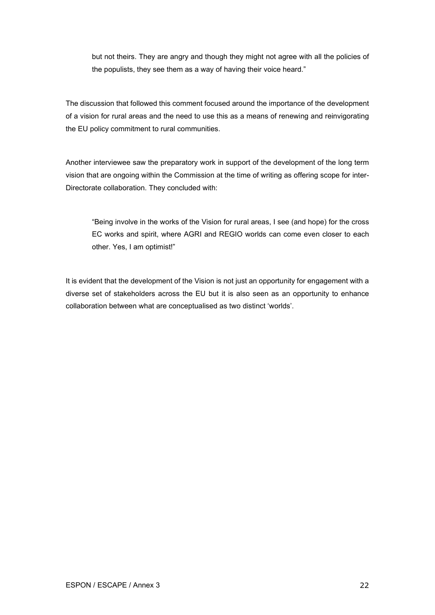but not theirs. They are angry and though they might not agree with all the policies of the populists, they see them as a way of having their voice heard."

The discussion that followed this comment focused around the importance of the development of a vision for rural areas and the need to use this as a means of renewing and reinvigorating the EU policy commitment to rural communities.

Another interviewee saw the preparatory work in support of the development of the long term vision that are ongoing within the Commission at the time of writing as offering scope for inter-Directorate collaboration. They concluded with:

"Being involve in the works of the Vision for rural areas, I see (and hope) for the cross EC works and spirit, where AGRI and REGIO worlds can come even closer to each other. Yes, I am optimist!"

It is evident that the development of the Vision is not just an opportunity for engagement with a diverse set of stakeholders across the EU but it is also seen as an opportunity to enhance collaboration between what are conceptualised as two distinct 'worlds'.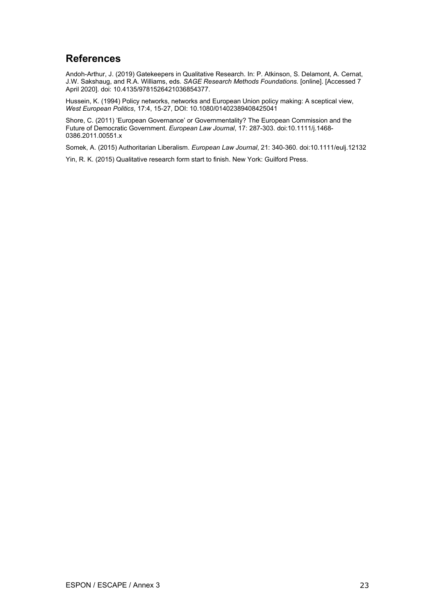## <span id="page-28-0"></span>**References**

Andoh-Arthur, J. (2019) Gatekeepers in Qualitative Research. In: P. Atkinson, S. Delamont, A. Cernat, J.W. Sakshaug, and R.A. Williams, eds. *SAGE Research Methods Foundations.* [online]. [Accessed 7 April 2020]. doi: 10.4135/9781526421036854377.

Hussein, K. (1994) Policy networks, networks and European Union policy making: A sceptical view, *West European Politics*, 17:4, 15-27, DOI: 10.1080/01402389408425041

Shore, C. (2011) 'European Governance' or Governmentality? The European Commission and the Future of Democratic Government. *European Law Journal*, 17: 287-303. do[i:10.1111/j.1468-](https://doi.org/10.1111/j.1468-0386.2011.00551.x) [0386.2011.00551.x](https://doi.org/10.1111/j.1468-0386.2011.00551.x)

Somek, A. (2015) Authoritarian Liberalism. *European Law Journal*, 21: 340-360. do[i:10.1111/eulj.12132](https://doi.org/10.1111/eulj.12132)

Yin, R. K. (2015) Qualitative research form start to finish. New York: Guilford Press.